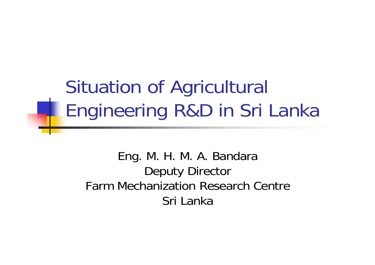# Situation of Agricultural Engineering R&D in Sri Lanka

Eng. M. H. M. A. Bandara Deputy Director Farm Mechanization Research CentreSri Lanka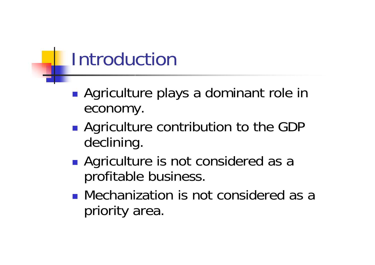### Introduction

- **Service Service** ■ Agriculture plays a dominant role in economy.
- **Agriculture contribution to the GDP** declining.
- **Agriculture is not considered as a** profitable business.
- **Nechanization is not considered as a** priority area.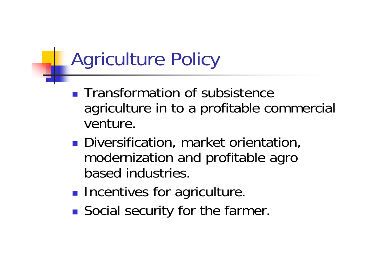# Agriculture Policy

- **Transformation of subsistence** agriculture in to a profitable commercial venture.
- **Diversification, market orientation,** modernization and profitable agro based industries.
- **Incentives for agriculture.**
- **Service Service Social security for the farmer.**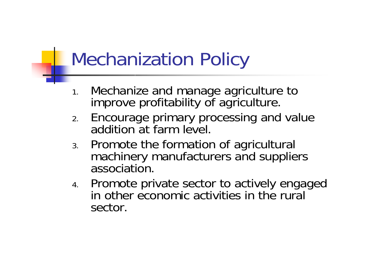## Mechanization Policy

- 1. Mechanize and manage agriculture to improve profitability of agriculture.
- 2. Encourage primary processing and value addition at farm level.
- 3. Promote the formation of agricultural machinery manufacturers and suppliers association.
- 4. Promote private sector to actively engaged in other economic activities in the rural sector.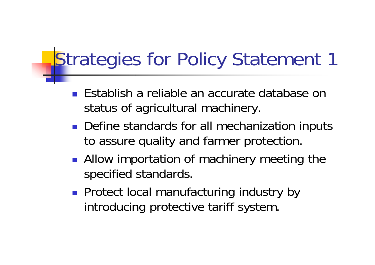- **Establish a reliable an accurate database on** status of agricultural machinery.
- Define standards for all mechanization inputs to assure quality and farmer protection.
- **Allow importation of machinery meeting the** specified standards.
- **Protect local manufacturing industry by** introducing protective tariff system.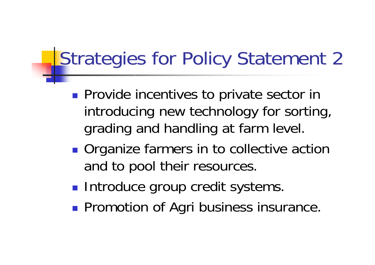- **Provide incentives to private sector in** introducing new technology for sorting, grading and handling at farm level.
- **Organize farmers in to collective action** and to pool their resources.
- **Introduce group credit systems.**
- **Promotion of Agri business insurance.**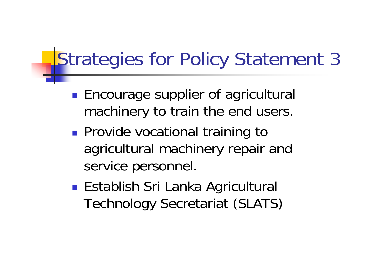- **Encourage supplier of agricultural** machinery to train the end users.
- **Provide vocational training to** agricultural machinery repair and service personnel.
- ■ Establish Sri Lanka Agricultural Technology Secretariat (SLATS)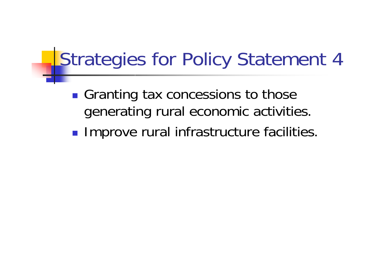- Granting tax concessions to those generating rural economic activities.
- **Improve rural infrastructure facilities.**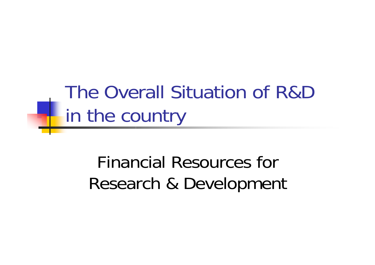The Overall Situation of R&D In the country

> Financial Resources for Research & Development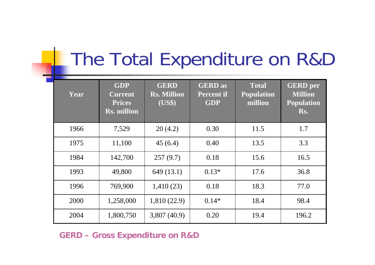#### The Total Expenditure on R&D

| Year | <b>GDP</b><br><b>Current</b><br><b>Prices</b><br>$\overline{\text{Rs}}$ . million | <b>GERD</b><br><b>Rs. Million</b><br>(US\$) | <b>GERD</b> as<br><b>Percent if</b><br><b>GDP</b> | <b>Total</b><br><b>Population</b><br>million | <b>GERD</b> per<br><b>Million</b><br><b>Population</b><br>Rs. |
|------|-----------------------------------------------------------------------------------|---------------------------------------------|---------------------------------------------------|----------------------------------------------|---------------------------------------------------------------|
| 1966 | 7,529                                                                             | 20(4.2)                                     | 0.30                                              | 11.5                                         | 1.7                                                           |
| 1975 | 11,100                                                                            | 45(6.4)                                     | 0.40                                              | 13.5                                         | 3.3                                                           |
| 1984 | 142,700                                                                           | 257(9.7)                                    | 0.18                                              | 15.6                                         | 16.5                                                          |
| 1993 | 49,800                                                                            | 649(13.1)                                   | $0.13*$                                           | 17.6                                         | 36.8                                                          |
| 1996 | 769,900                                                                           | 1,410(23)                                   | 0.18                                              | 18.3                                         | 77.0                                                          |
| 2000 | 1,258,000                                                                         | 1,810 (22.9)                                | $0.14*$                                           | 18.4                                         | 98.4                                                          |
| 2004 | 1,800,750                                                                         | 3,807(40.9)                                 | 0.20                                              | 19.4                                         | 196.2                                                         |

**GERD – Gross Expenditu re on R&D**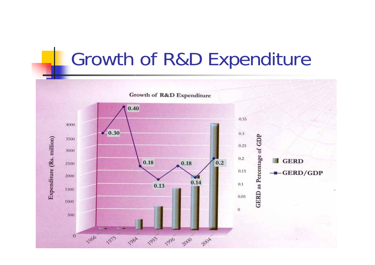#### Growth of R&D Expenditure

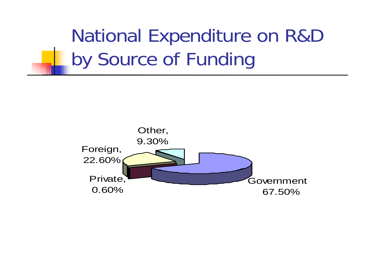National Expenditure on R&D by Source of Funding

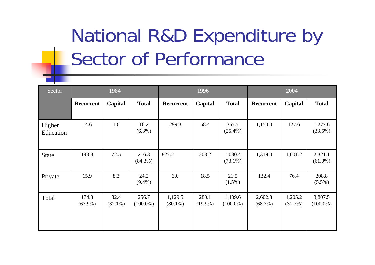# National R&D Expenditure by Sector of Performance

| Sector              | 1984                |                    |                      | 1996                  |                     |                        | 2004                  |                    |                        |
|---------------------|---------------------|--------------------|----------------------|-----------------------|---------------------|------------------------|-----------------------|--------------------|------------------------|
|                     | Recurrent           | Capital            | <b>Total</b>         | Recurrent             | Capital             | <b>Total</b>           | <b>Recurrent</b>      | Capital            | <b>Total</b>           |
| Higher<br>Education | 14.6                | 1.6                | 16.2<br>$(6.3\%)$    | 299.3                 | 58.4                | 357.7<br>$(25.4\%)$    | 1,150.0               | 127.6              | 1,277.6<br>$(33.5\%)$  |
| <b>State</b>        | 143.8               | 72.5               | 216.3<br>$(84.3\%)$  | 827.2                 | 203.2               | 1,030.4<br>$(73.1\%)$  | 1,319.0               | 1,001.2            | 2,321.1<br>$(61.0\%)$  |
| Private             | 15.9                | 8.3                | 24.2<br>$(9.4\%)$    | 3.0                   | 18.5                | 21.5<br>$(1.5\%)$      | 132.4                 | 76.4               | 208.8<br>$(5.5\%)$     |
| Total               | 174.3<br>$(67.9\%)$ | 82.4<br>$(32.1\%)$ | 256.7<br>$(100.0\%)$ | 1,129.5<br>$(80.1\%)$ | 280.1<br>$(19.9\%)$ | 1,409.6<br>$(100.0\%)$ | 2,602.3<br>$(68.3\%)$ | 1,205.2<br>(31.7%) | 3,807.5<br>$(100.0\%)$ |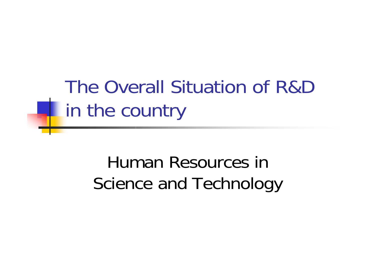The Overall Situation of R&D **The country** 

> Human Resources in Science and Technology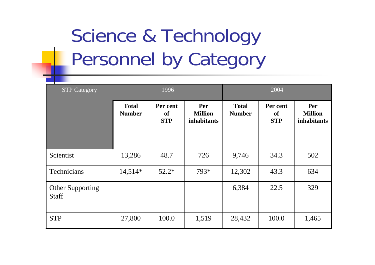# Science & Technology Personnel by Category

| <b>STP Category</b>                     | 1996                          |                                     |                                             | 2004                          |                                     |                                             |  |
|-----------------------------------------|-------------------------------|-------------------------------------|---------------------------------------------|-------------------------------|-------------------------------------|---------------------------------------------|--|
|                                         | <b>Total</b><br><b>Number</b> | Per cent<br><b>of</b><br><b>STP</b> | Per<br><b>Million</b><br><i>inhabitants</i> | <b>Total</b><br><b>Number</b> | Per cent<br><b>of</b><br><b>STP</b> | Per<br><b>Million</b><br><i>inhabitants</i> |  |
| Scientist                               | 13,286                        | 48.7                                | 726                                         | 9,746                         | 34.3                                | 502                                         |  |
| Technicians                             | $14,514*$                     | $52.2*$                             | 793*                                        | 12,302                        | 43.3                                | 634                                         |  |
| <b>Other Supporting</b><br><b>Staff</b> |                               |                                     |                                             | 6,384                         | 22.5                                | 329                                         |  |
| <b>STP</b>                              | 27,800                        | 100.0                               | 1,519                                       | 28,432                        | 100.0                               | 1,465                                       |  |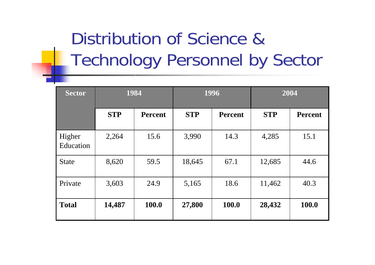#### Distribution of Science & Technology Personnel by Sector

| <b>Sector</b>       | 1984       |                |            | 1996           | 2004       |                |  |
|---------------------|------------|----------------|------------|----------------|------------|----------------|--|
|                     | <b>STP</b> | <b>Percent</b> | <b>STP</b> | <b>Percent</b> | <b>STP</b> | <b>Percent</b> |  |
| Higher<br>Education | 2,264      | 15.6           | 3,990      | 14.3           | 4,285      | 15.1           |  |
| <b>State</b>        | 8,620      | 59.5           | 18,645     | 67.1           | 12,685     | 44.6           |  |
| Private             | 3,603      | 24.9           | 5,165      | 18.6           | 11,462     | 40.3           |  |
| <b>Total</b>        | 14,487     | 100.0          | 27,800     | 100.0          | 28,432     | 100.0          |  |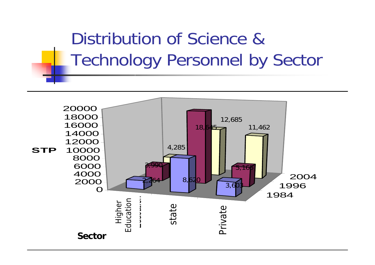

Distribution of Science &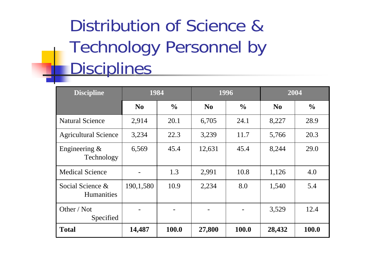Distribution of Science & Technology Personnel by **Disciplines** 

| <b>Discipline</b>                     | 1984           |               |                | 1996          | 2004           |               |
|---------------------------------------|----------------|---------------|----------------|---------------|----------------|---------------|
|                                       | N <sub>0</sub> | $\frac{6}{9}$ | N <sub>0</sub> | $\frac{6}{9}$ | N <sub>0</sub> | $\frac{0}{0}$ |
| <b>Natural Science</b>                | 2,914          | 20.1          | 6,705          | 24.1          | 8,227          | 28.9          |
| <b>Agricultural Science</b>           | 3,234          | 22.3          | 3,239          | 11.7          | 5,766          | 20.3          |
| Engineering $\&$<br>Technology        | 6,569          | 45.4          | 12,631         | 45.4          | 8,244          | 29.0          |
| <b>Medical Science</b>                |                | 1.3           | 2,991          | 10.8          | 1,126          | 4.0           |
| Social Science &<br><b>Humanities</b> | 190,1,580      | 10.9          | 2,234          | 8.0           | 1,540          | 5.4           |
| Other / Not<br>Specified              |                |               |                |               | 3,529          | 12.4          |
| <b>Total</b>                          | 14,487         | 100.0         | 27,800         | 100.0         | 28,432         | 100.0         |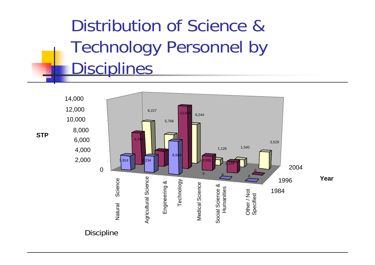Distribution of Science & Technology Personnel by **Disciplines** 



**STP**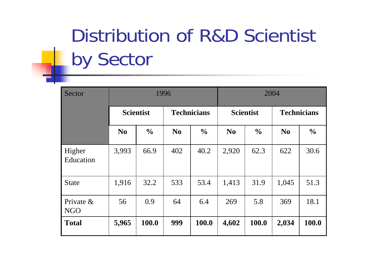# Distribution of R&D Scientist by Sector

| Sector                     | 1996             |               |                    |               |                  | 2004          |                    |               |  |
|----------------------------|------------------|---------------|--------------------|---------------|------------------|---------------|--------------------|---------------|--|
|                            | <b>Scientist</b> |               | <b>Technicians</b> |               | <b>Scientist</b> |               | <b>Technicians</b> |               |  |
|                            | N <sub>0</sub>   | $\frac{0}{0}$ | N <sub>0</sub>     | $\frac{0}{0}$ | N <sub>0</sub>   | $\frac{0}{0}$ | N <sub>0</sub>     | $\frac{0}{0}$ |  |
| Higher<br>Education        | 3,993            | 66.9          | 402                | 40.2          | 2,920            | 62.3          | 622                | 30.6          |  |
| <b>State</b>               | 1,916            | 32.2          | 533                | 53.4          | 1,413            | 31.9          | 1,045              | 51.3          |  |
| Private $\&$<br><b>NGO</b> | 56               | 0.9           | 64                 | 6.4           | 269              | 5.8           | 369                | 18.1          |  |
| <b>Total</b>               | 5,965            | 100.0         | 999                | 100.0         | 4,602            | 100.0         | 2,034              | 100.0         |  |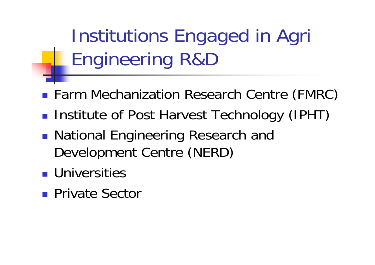Institutions Engaged in Agri Engineering R&D

- **Farm Mechanization Research Centre (FMRC)**
- $\mathbb{R}^3$ **Institute of Post Harvest Technology (IPHT)**
- $\mathbb{R}^3$ ■ National Engineering Research and Development Centre (NERD)
- **Universities**
- **Private Sector**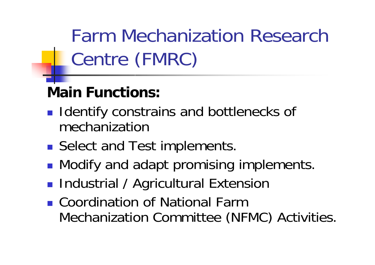Farm Mechanization Research Centre (FMRC)

#### **Main Functions:**

- **I** Identify constrains and bottlenecks of mechanization
- **Select and Test implements.**
- **Service Service • Modify and adapt promising implements.**
- **Industrial / Agricultural Extension**
- Coordination of National Farm Mechanization Committee (NFMC) Activities.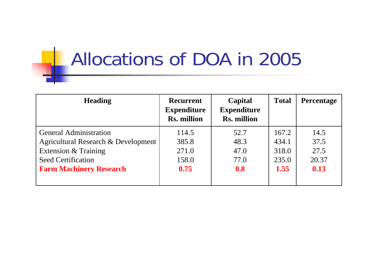### Allocations of DOA in 2005

| <b>Heading</b>                      | <b>Recurrent</b><br><b>Expenditure</b><br><b>Rs. million</b> | Capital<br><b>Expenditure</b><br><b>Rs. million</b> | <b>Total</b> | <b>Percentage</b> |
|-------------------------------------|--------------------------------------------------------------|-----------------------------------------------------|--------------|-------------------|
| <b>General Administration</b>       | 114.5                                                        | 52.7                                                | 167.2        | 14.5              |
| Agricultural Research & Development | 385.8                                                        | 48.3                                                | 434.1        | 37.5              |
| Extension & Training                | 271.0                                                        | 47.0                                                | 318.0        | 27.5              |
| <b>Seed Certification</b>           | 158.0                                                        | 77.0                                                | 235.0        | 20.37             |
| <b>Farm Machinery Research</b>      | 0.75                                                         | 0.8                                                 | 1.55         | 0.13              |
|                                     |                                                              |                                                     |              |                   |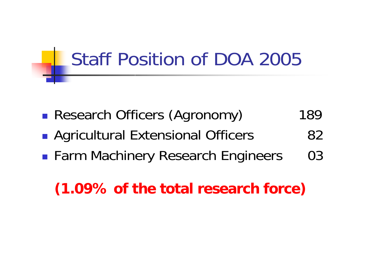#### Staff Position of DOA 2005

- $\mathbb{R}^3$ **Research Officers (Agronomy)** 189
- $\mathbb{R}^3$ **Agricultural Extensional Officers** 82
- $\mathbb{R}^3$ **Farm Machinery Research Engineers** 03

#### **(1.09% of the total research force)**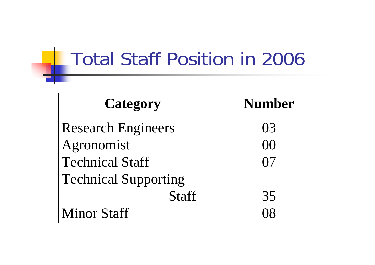#### Total Staff Position in 2006

| <b>Category</b>             | <b>Number</b> |
|-----------------------------|---------------|
| <b>Research Engineers</b>   | 03            |
| Agronomist                  | $($ )( )      |
| <b>Technical Staff</b>      | $\frac{1}{2}$ |
| <b>Technical Supporting</b> |               |
| <b>Staff</b>                | 35            |
| <b>Minor Staff</b>          |               |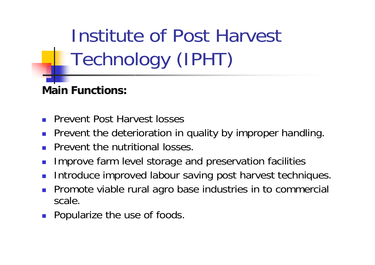Institute of Post Harvest Technology (IPHT)

#### **Main Functions:**

- $\overline{\phantom{a}}$ Prevent Post Harvest losses
- $\overline{\phantom{a}}$ Prevent the deterioration in quality by improper handling.
- Prevent the nutritional losses.
- $\overline{\phantom{a}}$ Improve farm level storage and preservation facilities
- $\overline{\phantom{a}}$ Introduce improved labour saving post harvest techniques.
- F Promote viable rural agro base industries in to commercial scale.
- $\overline{\phantom{a}}$ Popularize the use of foods.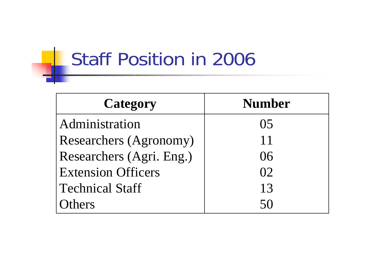#### Staff Position in 2006

| <b>Category</b>               | <b>Number</b> |
|-------------------------------|---------------|
| Administration                | ( ) 5         |
| <b>Researchers (Agronomy)</b> | 11            |
| Researchers (Agri. Eng.)      | 06            |
| <b>Extension Officers</b>     | 02            |
| <b>Technical Staff</b>        | 13            |
| $r$ hers                      |               |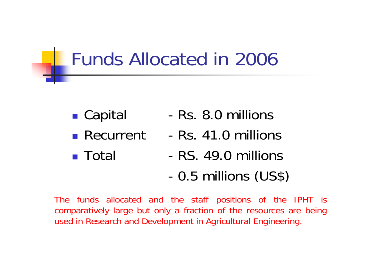#### Funds Allocated in 2006

- **Service Service** ■ Capital -
- **Recurrent**
- Total
- Rs. 8.0 millions
- -Rs. 41.0 millions
- -RS. 49.0 millions
- -0.5 millions (US\$)

The funds allocated and the staff positions of the IPHT is comparatively large but only a fraction of the resources are being used in Research and Development in Agricultural Engineering.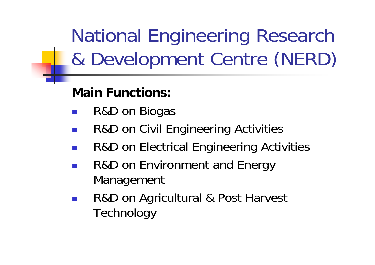National Engineering Research & Development Centre (NERD)

#### **Main Functions:**

- $\mathbb{R}^2$ R&D on Biogas
- $\mathbb{R}^n$ R&D on Civil Engineering Activities
- $\mathbb{R}^3$ R&D on Electrical Engineering Activities
- $\mathbb{R}^n$  R&D on Environment and Energy Management
- $\mathbb{R}^3$  R&D on Agricultural & Post Harvest **Technology**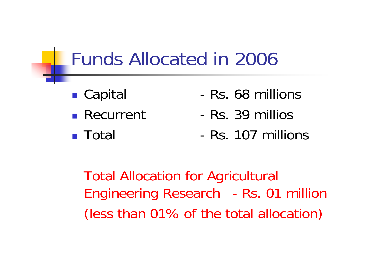#### Funds Allocated in 2006

- ■ Capital - The La
- Recurrent
- **Total**
- Rs. 68 millions
- -Rs. 39 millios
- Rs. 107 millions

Total Allocation for Agricultural Engineering Research - Rs. 01 million (less than 01% of the total allocation)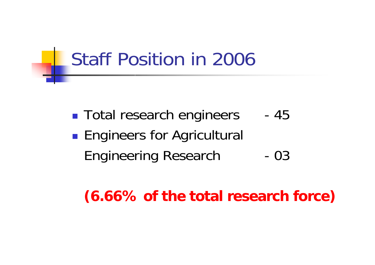#### Staff Position in 2006

**Service Service** ■ Total research engineers -45 **Engineers for Agricultural** Engineering Research -03

#### **(6.66% of the total research force)**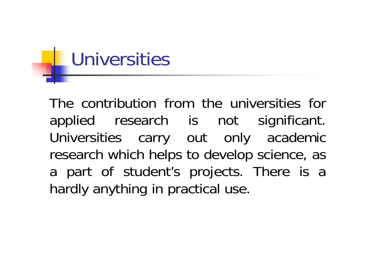# Universities

The contribution from the universities for applied research is not significant. Universities carry out only academic research which helps to develop science, as a part of student's projects. There is a hardly anything in practical use.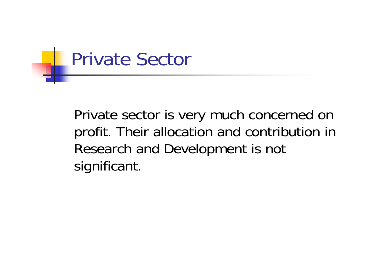

Private sector is very much concerned on profit. Their allocation and contribution in Research and Development is not significant.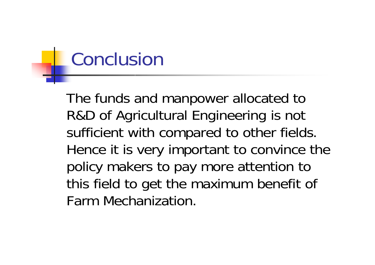### Conclusion

The funds and manpower allocated to R&D of Agricultural Engineering is not sufficient with compared to other fields. Hence it is very important to convince the policy makers to pay more attention to this field to get the maximum benefit of Farm Mechanization.